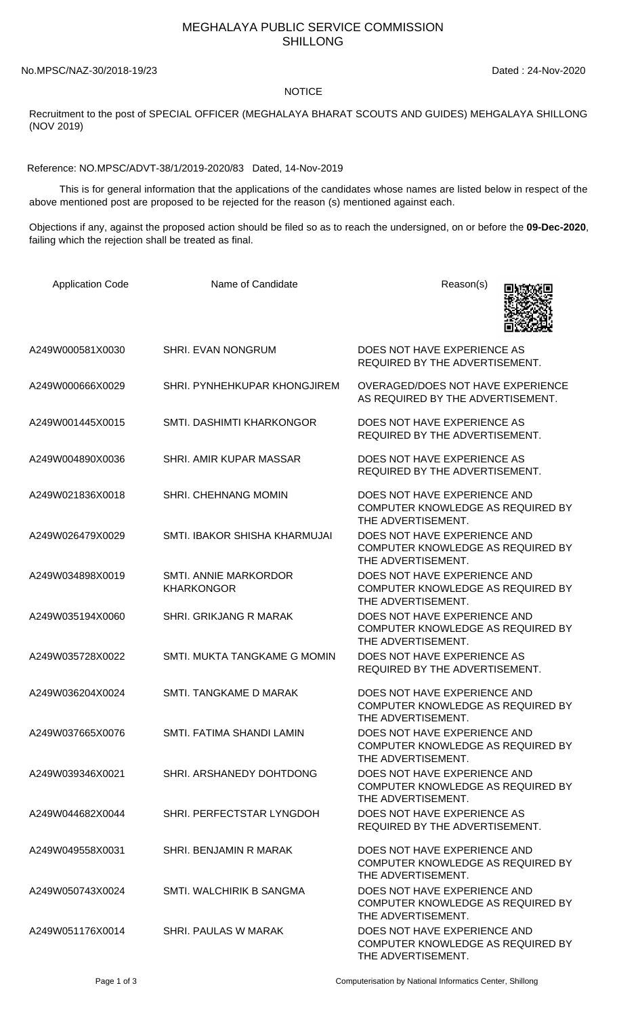## MEGHALAYA PUBLIC SERVICE COMMISSION SHILLONG

No.MPSC/NAZ-30/2018-19/23 Dated : 24-Nov-2020

## **NOTICE**

Recruitment to the post of SPECIAL OFFICER (MEGHALAYA BHARAT SCOUTS AND GUIDES) MEHGALAYA SHILLONG (NOV 2019)

Reference: NO.MPSC/ADVT-38/1/2019-2020/83 Dated, 14-Nov-2019

 This is for general information that the applications of the candidates whose names are listed below in respect of the above mentioned post are proposed to be rejected for the reason (s) mentioned against each.

Objections if any, against the proposed action should be filed so as to reach the undersigned, on or before the **09-Dec-2020**, failing which the rejection shall be treated as final.

| <b>Application Code</b> | Name of Candidate                          | Reason(s)                                                                               |
|-------------------------|--------------------------------------------|-----------------------------------------------------------------------------------------|
| A249W000581X0030        | <b>SHRI. EVAN NONGRUM</b>                  | DOES NOT HAVE EXPERIENCE AS<br>REQUIRED BY THE ADVERTISEMENT.                           |
| A249W000666X0029        | SHRI. PYNHEHKUPAR KHONGJIREM               | <b>OVERAGED/DOES NOT HAVE EXPERIENCE</b><br>AS REQUIRED BY THE ADVERTISEMENT.           |
| A249W001445X0015        | SMTI. DASHIMTI KHARKONGOR                  | DOES NOT HAVE EXPERIENCE AS<br>REQUIRED BY THE ADVERTISEMENT.                           |
| A249W004890X0036        | SHRI. AMIR KUPAR MASSAR                    | DOES NOT HAVE EXPERIENCE AS<br>REQUIRED BY THE ADVERTISEMENT.                           |
| A249W021836X0018        | SHRI. CHEHNANG MOMIN                       | DOES NOT HAVE EXPERIENCE AND<br>COMPUTER KNOWLEDGE AS REQUIRED BY<br>THE ADVERTISEMENT. |
| A249W026479X0029        | SMTI. IBAKOR SHISHA KHARMUJAI              | DOES NOT HAVE EXPERIENCE AND<br>COMPUTER KNOWLEDGE AS REQUIRED BY<br>THE ADVERTISEMENT. |
| A249W034898X0019        | SMTI. ANNIE MARKORDOR<br><b>KHARKONGOR</b> | DOES NOT HAVE EXPERIENCE AND<br>COMPUTER KNOWLEDGE AS REQUIRED BY<br>THE ADVERTISEMENT. |
| A249W035194X0060        | SHRI. GRIKJANG R MARAK                     | DOES NOT HAVE EXPERIENCE AND<br>COMPUTER KNOWLEDGE AS REQUIRED BY<br>THE ADVERTISEMENT. |
| A249W035728X0022        | SMTI. MUKTA TANGKAME G MOMIN               | DOES NOT HAVE EXPERIENCE AS<br>REQUIRED BY THE ADVERTISEMENT.                           |
| A249W036204X0024        | SMTI. TANGKAME D MARAK                     | DOES NOT HAVE EXPERIENCE AND<br>COMPUTER KNOWLEDGE AS REQUIRED BY<br>THE ADVERTISEMENT. |
| A249W037665X0076        | SMTI. FATIMA SHANDI LAMIN                  | DOES NOT HAVE EXPERIENCE AND<br>COMPUTER KNOWLEDGE AS REQUIRED BY<br>THE ADVERTISEMENT. |
| A249W039346X0021        | SHRI. ARSHANEDY DOHTDONG                   | DOES NOT HAVE EXPERIENCE AND<br>COMPUTER KNOWLEDGE AS REQUIRED BY<br>THE ADVERTISEMENT. |
| A249W044682X0044        | SHRI. PERFECTSTAR LYNGDOH                  | DOES NOT HAVE EXPERIENCE AS<br>REQUIRED BY THE ADVERTISEMENT.                           |
| A249W049558X0031        | SHRI. BENJAMIN R MARAK                     | DOES NOT HAVE EXPERIENCE AND<br>COMPUTER KNOWLEDGE AS REQUIRED BY<br>THE ADVERTISEMENT. |
| A249W050743X0024        | SMTI. WALCHIRIK B SANGMA                   | DOES NOT HAVE EXPERIENCE AND<br>COMPUTER KNOWLEDGE AS REQUIRED BY<br>THE ADVERTISEMENT. |
| A249W051176X0014        | SHRI. PAULAS W MARAK                       | DOES NOT HAVE EXPERIENCE AND<br>COMPUTER KNOWLEDGE AS REQUIRED BY<br>THE ADVERTISEMENT. |

Page 1 of 3 Computerisation by National Informatics Center, Shillong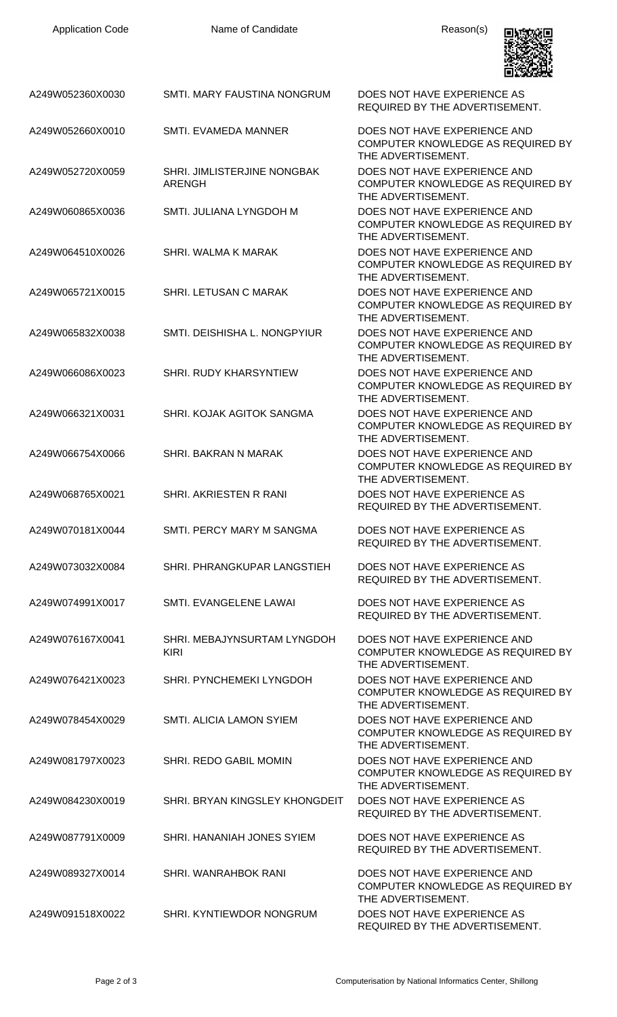

| A249W052360X0030 | SMTI. MARY FAUSTINA NONGRUM                  | DOES NOT HAVE EXPERIENCE AS<br>REQUIRED BY THE ADVERTISEMENT.                           |
|------------------|----------------------------------------------|-----------------------------------------------------------------------------------------|
| A249W052660X0010 | SMTI. EVAMEDA MANNER                         | DOES NOT HAVE EXPERIENCE AND<br>COMPUTER KNOWLEDGE AS REQUIRED BY<br>THE ADVERTISEMENT. |
| A249W052720X0059 | SHRI. JIMLISTERJINE NONGBAK<br><b>ARENGH</b> | DOES NOT HAVE EXPERIENCE AND<br>COMPUTER KNOWLEDGE AS REQUIRED BY<br>THE ADVERTISEMENT. |
| A249W060865X0036 | SMTI. JULIANA LYNGDOH M                      | DOES NOT HAVE EXPERIENCE AND<br>COMPUTER KNOWLEDGE AS REQUIRED BY<br>THE ADVERTISEMENT. |
| A249W064510X0026 | SHRI. WALMA K MARAK                          | DOES NOT HAVE EXPERIENCE AND<br>COMPUTER KNOWLEDGE AS REQUIRED BY<br>THE ADVERTISEMENT. |
| A249W065721X0015 | SHRI. LETUSAN C MARAK                        | DOES NOT HAVE EXPERIENCE AND<br>COMPUTER KNOWLEDGE AS REQUIRED BY<br>THE ADVERTISEMENT. |
| A249W065832X0038 | SMTI. DEISHISHA L. NONGPYIUR                 | DOES NOT HAVE EXPERIENCE AND<br>COMPUTER KNOWLEDGE AS REQUIRED BY<br>THE ADVERTISEMENT. |
| A249W066086X0023 | SHRI. RUDY KHARSYNTIEW                       | DOES NOT HAVE EXPERIENCE AND<br>COMPUTER KNOWLEDGE AS REQUIRED BY<br>THE ADVERTISEMENT. |
| A249W066321X0031 | SHRI. KOJAK AGITOK SANGMA                    | DOES NOT HAVE EXPERIENCE AND<br>COMPUTER KNOWLEDGE AS REQUIRED BY<br>THE ADVERTISEMENT. |
| A249W066754X0066 | SHRI. BAKRAN N MARAK                         | DOES NOT HAVE EXPERIENCE AND<br>COMPUTER KNOWLEDGE AS REQUIRED BY<br>THE ADVERTISEMENT. |
| A249W068765X0021 | SHRI. AKRIESTEN R RANI                       | DOES NOT HAVE EXPERIENCE AS<br>REQUIRED BY THE ADVERTISEMENT.                           |
| A249W070181X0044 | SMTI. PERCY MARY M SANGMA                    | DOES NOT HAVE EXPERIENCE AS<br>REQUIRED BY THE ADVERTISEMENT.                           |
| A249W073032X0084 | SHRI. PHRANGKUPAR LANGSTIEH                  | DOES NOT HAVE EXPERIENCE AS<br>REQUIRED BY THE ADVERTISEMENT.                           |
| A249W074991X0017 | SMTI. EVANGELENE LAWAI                       | DOES NOT HAVE EXPERIENCE AS<br>REQUIRED BY THE ADVERTISEMENT.                           |
| A249W076167X0041 | SHRI. MEBAJYNSURTAM LYNGDOH<br><b>KIRI</b>   | DOES NOT HAVE EXPERIENCE AND<br>COMPUTER KNOWLEDGE AS REQUIRED BY<br>THE ADVERTISEMENT. |
| A249W076421X0023 | SHRI. PYNCHEMEKI LYNGDOH                     | DOES NOT HAVE EXPERIENCE AND<br>COMPUTER KNOWLEDGE AS REQUIRED BY<br>THE ADVERTISEMENT. |
| A249W078454X0029 | <b>SMTI. ALICIA LAMON SYIEM</b>              | DOES NOT HAVE EXPERIENCE AND<br>COMPUTER KNOWLEDGE AS REQUIRED BY<br>THE ADVERTISEMENT. |
| A249W081797X0023 | SHRI. REDO GABIL MOMIN                       | DOES NOT HAVE EXPERIENCE AND<br>COMPUTER KNOWLEDGE AS REQUIRED BY<br>THE ADVERTISEMENT. |
| A249W084230X0019 | SHRI. BRYAN KINGSLEY KHONGDEIT               | DOES NOT HAVE EXPERIENCE AS<br>REQUIRED BY THE ADVERTISEMENT.                           |
| A249W087791X0009 | SHRI. HANANIAH JONES SYIEM                   | DOES NOT HAVE EXPERIENCE AS<br>REQUIRED BY THE ADVERTISEMENT.                           |
| A249W089327X0014 | SHRI. WANRAHBOK RANI                         | DOES NOT HAVE EXPERIENCE AND<br>COMPUTER KNOWLEDGE AS REQUIRED BY<br>THE ADVERTISEMENT. |
| A249W091518X0022 | SHRI. KYNTIEWDOR NONGRUM                     | DOES NOT HAVE EXPERIENCE AS<br>REQUIRED BY THE ADVERTISEMENT.                           |